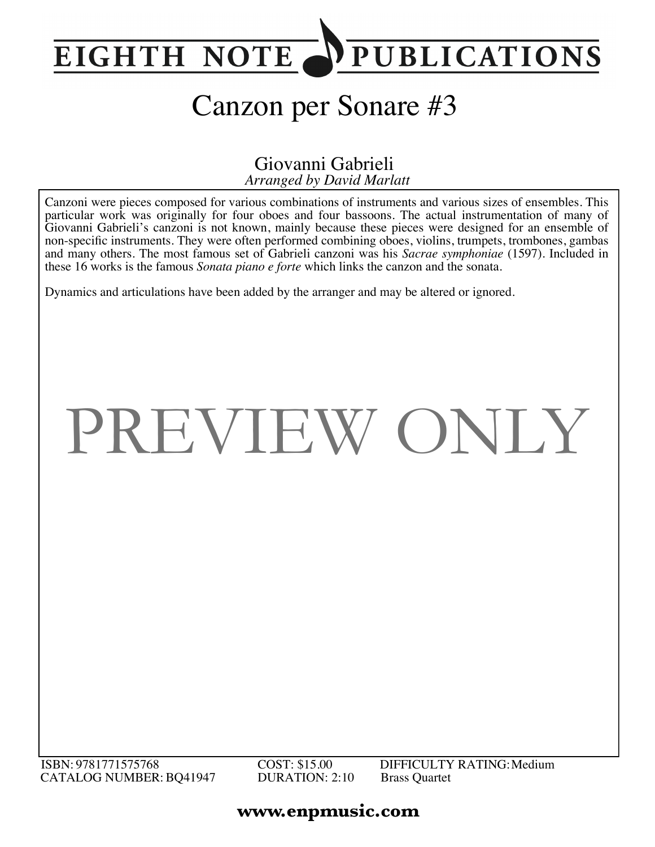### PUBLICATIONS EIGHTH NOTE

### Canzon per Sonare #3

#### *Arranged by David Marlatt* Giovanni Gabrieli

Canzoni were pieces composed for various combinations of instruments and various sizes of ensembles. This particular work was originally for four oboes and four bassoons. The actual instrumentation of many of Giovanni Gabrieli's canzoni is not known, mainly because these pieces were designed for an ensemble of non-specific instruments. They were often performed combining oboes, violins, trumpets, trombones, gambas and many others. The most famous set of Gabrieli canzoni was his *Sacrae symphoniae* (1597). Included in these 16 works is the famous *Sonata piano e forte* which links the canzon and the sonata.

Dynamics and articulations have been added by the arranger and may be altered or ignored.

## PREVIEW ONLY

### **www.enpmusic.com**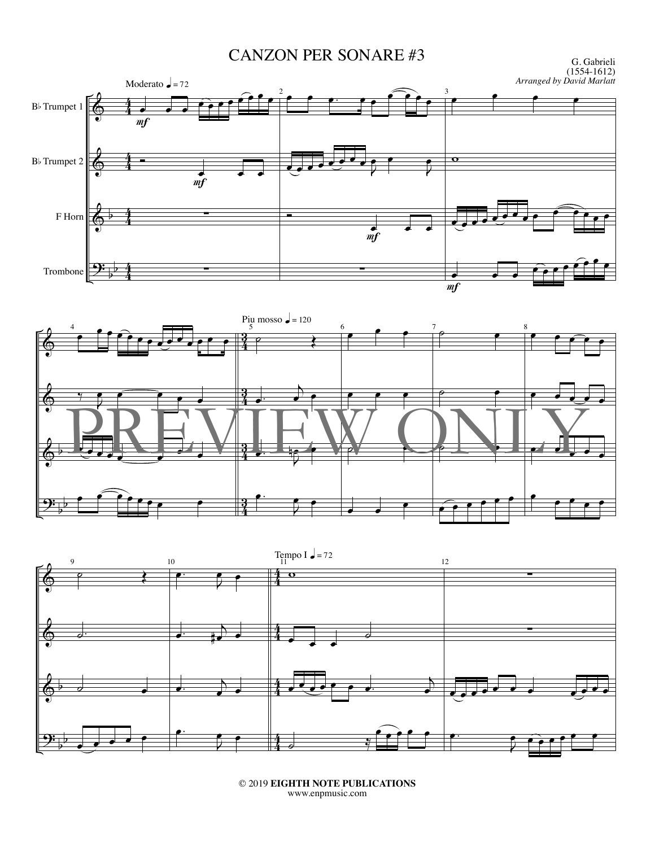#### CANZON PER SONARE #3







© 2019 **EIGHTH NOTE PUBLICATIONS** www.enpmusic.com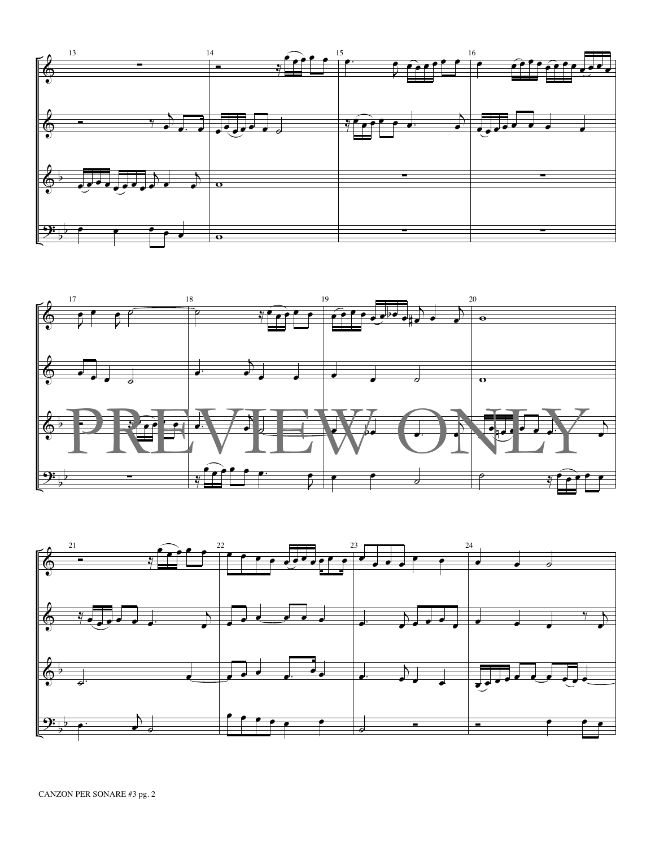



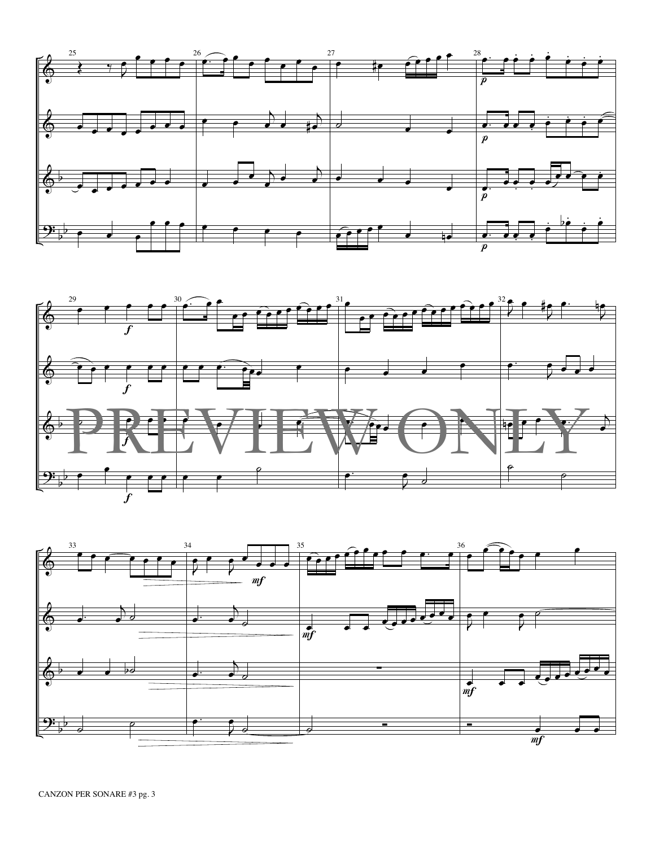